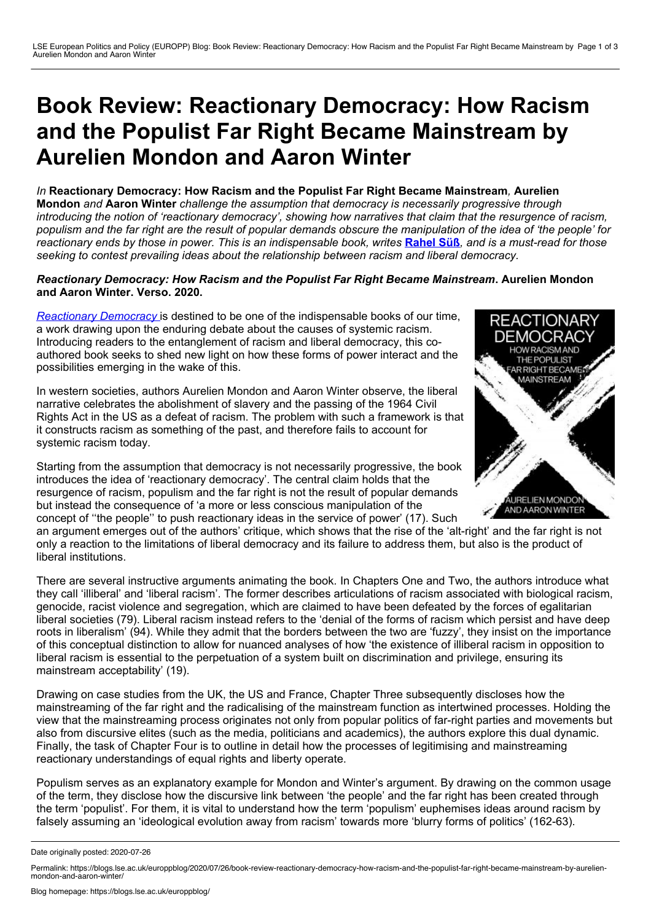## <span id="page-0-0"></span>**Book Review: Reactionary Democracy: How Racism and the Populist Far Right Became Mainstream by Aurelien Mondon and Aaron Winter**

*In* **Reactionary Democracy: How Racism and the Populist Far Right Became Mainstream***,* **Aurelien Mondon** *and* **Aaron Winter** *challenge the assumption that democracy is necessarily progressive through* introducing the notion of 'reactionary democracy', showing how narratives that claim that the resurgence of racism, populism and the far right are the result of popular demands obscure the manipulation of the idea of 'the people' for reactionary ends by those in power. This is an indispensable book, writes [Rahel](#page-0-0) Süß, and is a must-read for those *seeking to contest prevailing ideas about the relationship between racism and liberal democracy.*

## *Reactionary Democracy: How Racism and the Populist Far Right Became Mainstream***. Aurelien Mondon and Aaron Winter. Verso. 2020.**

*[Reactionary](https://www.versobooks.com/books/3173-reactionary-democracy) Democracy* is destined to be one of the indispensable books of our time, a work drawing upon the enduring debate about the causes of systemic racism. Introducing readers to the entanglement of racism and liberal democracy, this co authored book seeks to shed new light on how these forms of power interact and the possibilities emerging in the wake of this.

In western societies, authors Aurelien Mondon and Aaron Winter observe, the liberal narrative celebrates the abolishment of slavery and the passing of the 1964 Civil Rights Act in the US as a defeat of racism. The problem with such a framework is that it constructs racism as something of the past, and therefore fails to account for systemic racism today.

Starting from the assumption that democracy is not necessarily progressive, the book introduces the idea of 'reactionary democracy'. The central claim holds that the resurgence of racism, populism and the far right is not the result of popular demands but instead the consequence of 'a more or less conscious manipulation of the concept of ''the people'' to push reactionary ideas in the service of power' (17). Such



an argument emerges out of the authors' critique, which shows that the rise of the 'alt-right' and the far right is not only a reaction to the limitations of liberal democracy and its failure to address them, but also is the product of liberal institutions.

There are several instructive arguments animating the book*.* In Chapters One and Two, the authors introduce what they call 'illiberal' and 'liberal racism'. The former describes articulations of racism associated with biological racism, genocide, racist violence and segregation, which are claimed to have been defeated by the forces of egalitarian liberal societies (79). Liberal racism instead refers to the 'denial of the forms of racism which persist and have deep roots in liberalism' (94). While they admit that the borders between the two are 'fuzzy', they insist on the importance of this conceptual distinction to allow for nuanced analyses of how 'the existence of illiberal racism in opposition to liberal racism is essential to the perpetuation of a system built on discrimination and privilege, ensuring its mainstream acceptability' (19).

Drawing on case studies from the UK, the US and France, Chapter Three subsequently discloses how the mainstreaming of the far right and the radicalising of the mainstream function as intertwined processes. Holding the view that the mainstreaming process originates not only from popular politics of far-right parties and movements but also from discursive elites (such as the media, politicians and academics), the authors explore this dual dynamic. Finally, the task of Chapter Four is to outline in detail how the processes of legitimising and mainstreaming reactionary understandings of equal rights and liberty operate.

Populism serves as an explanatory example for Mondon and Winter's argument. By drawing on the common usage of the term, they disclose how the discursive link between 'the people' and the far right has been created through the term 'populist'. For them, it is vital to understand how the term 'populism' euphemises ideas around racism by falsely assuming an 'ideological evolution away from racism' towards more 'blurry forms of politics' (162-63).

Date originally posted: 2020-07-26

Permalink: https://blogs.lse.ac.uk/europpblog/2020/07/26/book-review-reactionary-democracy-how-racism-and-the-populist-far-right-became-mainstream-by-aurelien-<br>mondon-and-aaron-winter/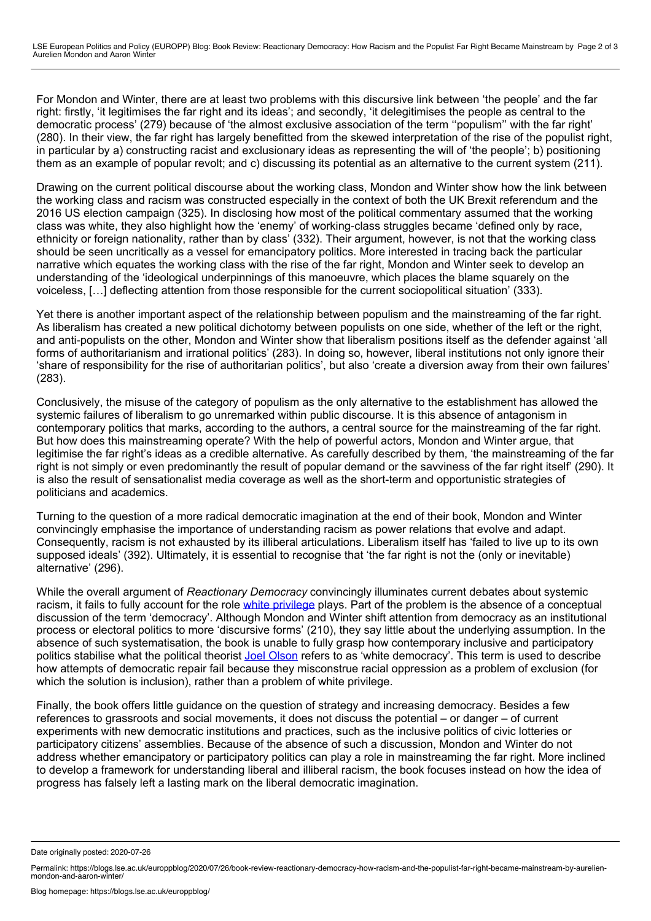For Mondon and Winter, there are at least two problems with this discursive link between 'the people' and the far right: firstly, 'it legitimises the far right and its ideas'; and secondly, 'it delegitimises the people as central to the democratic process' (279) because of 'the almost exclusive association of the term ''populism'' with the far right' (280). In their view, the far right has largely benefitted from the skewed interpretation of the rise of the populist right, in particular by a) constructing racist and exclusionary ideas as representing the will of 'the people'; b) positioning them as an example of popular revolt; and c) discussing its potential as an alternative to the current system (211).

Drawing on the current political discourse about the working class, Mondon and Winter show how the link between the working class and racism was constructed especially in the context of both the UK Brexit referendum and the 2016 US election campaign (325). In disclosing how most of the political commentary assumed that the working class was white, they also highlight how the 'enemy' of working-class struggles became 'defined only by race, ethnicity or foreign nationality, rather than by class' (332). Their argument, however, is not that the working class should be seen uncritically as a vessel for emancipatory politics. More interested in tracing back the particular narrative which equates the working class with the rise of the far right, Mondon and Winter seek to develop an understanding of the 'ideological underpinnings of this manoeuvre, which places the blame squarely on the voiceless, […] deflecting attention from those responsible for the current sociopolitical situation' (333).

Yet there is another important aspect of the relationship between populism and the mainstreaming of the far right. As liberalism has created a new political dichotomy between populists on one side, whether of the left or the right, and anti-populists on the other, Mondon and Winter show that liberalism positions itself as the defender against 'all forms of authoritarianism and irrational politics' (283). In doing so, however, liberal institutions not only ignore their 'share of responsibility for the rise of authoritarian politics', but also 'create a diversion away from their own failures' (283).

Conclusively, the misuse of the category of populism as the only alternative to the establishment has allowed the systemic failures of liberalism to go unremarked within public discourse. It is this absence of antagonism in contemporary politics that marks, according to the authors, a central source for the mainstreaming of the far right. But how does this mainstreaming operate? With the help of powerful actors, Mondon and Winter argue, that legitimise the far right's ideas as a credible alternative. As carefully described by them, 'the mainstreaming of the far right is not simply or even predominantly the result of popular demand or the savviness of the far right itself' (290). It is also the result of sensationalist media coverage as well as the short-term and opportunistic strategies of politicians and academics.

Turning to the question of a more radical democratic imagination at the end of their book, Mondon and Winter convincingly emphasise the importance of understanding racism as power relations that evolve and adapt. Consequently, racism is not exhausted by its illiberal articulations. Liberalism itself has 'failed to live up to its own supposed ideals' (392). Ultimately, it is essential to recognise that 'the far right is not the (only or inevitable) alternative' (296).

While the overall argument of *Reactionary Democracy* convincingly illuminates current debates about systemic racism, it fails to fully account for the role white [privilege](https://blogs.lse.ac.uk/lsereviewofbooks/2018/08/22/book-review-white-privilege-the-myth-of-a-post-racial-society-by-kalwant-bhopal/) plays. Part of the problem is the absence of a conceptual discussion of the term 'democracy'. Although Mondon and Winter shift attention from democracy as an institutional process or electoral politics to more 'discursive forms' (210), they say little about the underlying assumption. In the absence of such systematisation, the book is unable to fully grasp how contemporary inclusive and participatory politics stabilise what the political theorist Joel [Olson](https://www.upress.umn.edu/book-division/books/the-abolition-of-white-democracy) refers to as 'white democracy'. This term is used to describe how attempts of democratic repair fail because they misconstrue racial oppression as a problem of exclusion (for which the solution is inclusion), rather than a problem of white privilege.

Finally, the book offers little guidance on the question of strategy and increasing democracy. Besides a few references to grassroots and social movements, it does not discuss the potential – or danger – of current experiments with new democratic institutions and practices, such as the inclusive politics of civic lotteries or participatory citizens' assemblies. Because of the absence of such a discussion, Mondon and Winter do not address whether emancipatory or participatory politics can play a role in mainstreaming the far right. More inclined to develop a framework for understanding liberal and illiberal racism, the book focuses instead on how the idea of progress has falsely left a lasting mark on the liberal democratic imagination.

Date originally posted: 2020-07-26

Permalink: https://blogs.lse.ac.uk/europpblog/2020/07/26/book-review-reactionary-democracy-how-racism-and-the-populist-far-right-became-mainstream-by-aurelien-<br>mondon-and-aaron-winter/